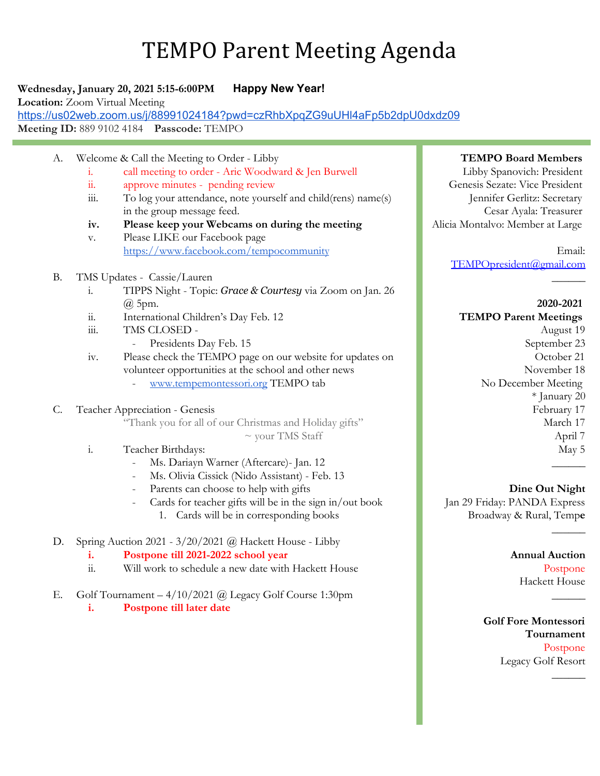# TEMPO Parent Meeting Agenda

## **Wednesday, January 20, 2021 5:15-6:00PM Happy New Year! Location:** Zoom Virtual Meeting <https://us02web.zoom.us/j/88991024184?pwd=czRhbXpqZG9uUHl4aFp5b2dpU0dxdz09> **Meeting ID:** 889 9102 4184 **Passcode:** TEMPO

- A. Welcome & Call the Meeting to Order Libby
	- i. call meeting to order Aric Woodward & Jen Burwell
	- ii. approve minutes pending review
	- iii. To log your attendance, note yourself and child(rens) name(s) in the group message feed.
	- **iv. Please keep your Webcams on during the meeting**
	- v. Please LIKE our Facebook page <https://www.facebook.com/tempocommunity>
- B. TMS Updates Cassie/Lauren
	- i. TIPPS Night Topic: *Grace & Courtesy* via Zoom on Jan. 26  $(a)$  5pm.
	- ii. International Children's Day Feb. 12
	- iii. TMS CLOSED
		- Presidents Day Feb. 15
	- iv. Please check the TEMPO page on our website for updates on volunteer opportunities at the school and other news
		- [www.tempemontessori.org](http://www.tempemontessori.org/) TEMPO tab
- C. Teacher Appreciation Genesis "Thank you for all of our Christmas and Holiday gifts"

 $\sim$  your TMS Staff

- i. Teacher Birthdays:
	- Ms. Dariayn Warner (Aftercare)- Jan. 12
	- Ms. Olivia Cissick (Nido Assistant) Feb. 13
	- Parents can choose to help with gifts
	- Cards for teacher gifts will be in the sign in/out book 1. Cards will be in corresponding books
- D. Spring Auction 2021 3/20/2021 @ Hackett House Libby
	- **i. Postpone till 2021-2022 school year**
	- ii. Will work to schedule a new date with Hackett House
- E. Golf Tournament 4/10/2021 @ Legacy Golf Course 1:30pm **i. Postpone till later date**

## **TEMPO Board Members**

Libby Spanovich: President Genesis Sezate: Vice President Jennifer Gerlitz: Secretary Cesar Ayala: Treasurer Alicia Montalvo: Member at Large

> Email: [TEMPOpresident@gmail.com](mailto:TEMPOpresident@gmail.com)

# **2020-2021**

 $\mathcal{L}$ 

**TEMPO Parent Meetings** August 19 September 23 October 21 November 18 No December Meeting \* January 20 February 17 March 17 April 7 May 5  $\mathcal{L}$ 

## **Dine Out Night**

Jan 29 Friday: PANDA Express Broadway & Rural, Temp**e**

## **Annual Auction** Postpone Hackett House

 $\mathcal{L}$ 

 $\mathcal{L}$ 

 $\frac{1}{2}$ 

**Golf Fore Montessori Tournament** Postpone Legacy Golf Resort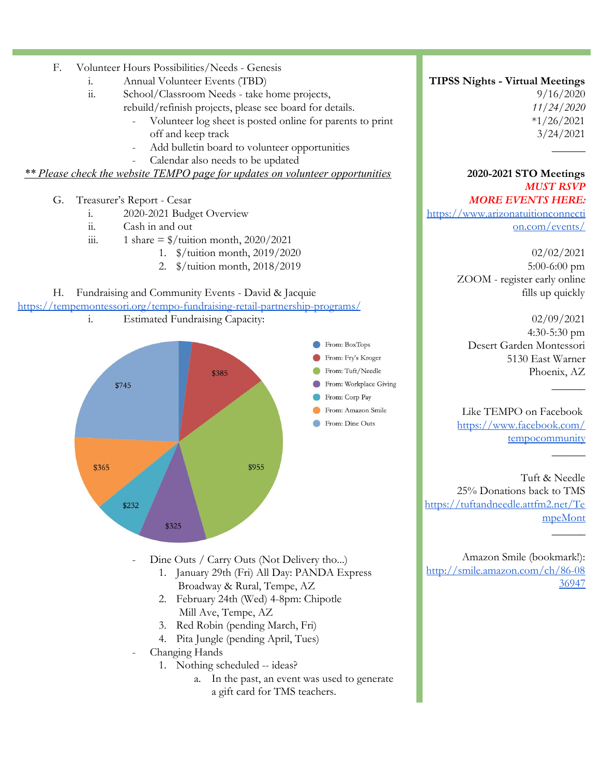- F. Volunteer Hours Possibilities/Needs Genesis
	- i. Annual Volunteer Events (TBD)
	- ii. School/Classroom Needs take home projects, rebuild/refinish projects, please see board for details.
		- Volunteer log sheet is posted online for parents to print off and keep track
		- Add bulletin board to volunteer opportunities
		- Calendar also needs to be updated

*\*\* Please check the website TEMPO page for updates on volunteer opportunities*

- G. Treasurer's Report Cesar
	- i. 2020-2021 Budget Overview
	- ii. Cash in and out
	- iii. 1 share  $=$  \$/tuition month, 2020/2021
		- 1. \$/tuition month, 2019/2020
			- 2. \$/tuition month, 2018/2019

# H. Fundraising and Community Events - David & Jacquie



**TIPSS Nights - Virtual Meetings**

9/16/2020 *11/24/2020* \*1/26/2021 3/24/2021

**\_**\_\_\_\_\_

 $\overline{\phantom{a}}$ 

### **2020-2021 STO Meetings** *MUST RSVP MORE EVENTS HERE:*

[https://www.arizonatuitionconnecti](https://www.arizonatuitionconnection.com/events/) [on.com/events/](https://www.arizonatuitionconnection.com/events/)

> 02/02/2021 5:00-6:00 pm ZOOM - register early online fills up quickly

> > 02/09/2021 4:30-5:30 pm Desert Garden Montessori 5130 East Warner Phoenix, AZ

Like TEMPO on Facebook [https://www.facebook.com/](https://www.facebook.com/tempocommunity) [tempocommunity](https://www.facebook.com/tempocommunity)  $\mathcal{L}$ 

Tuft & Needle 25% Donations back to TMS [https://tuftandneedle.attfm2.net/Te](https://tuftandneedle.attfm2.net/TempeMont) [mpeMont](https://tuftandneedle.attfm2.net/TempeMont)  $\mathcal{L}$ 

Amazon Smile (bookmark!): [http://smile.amazon.com/ch/86-08](http://smile.amazon.com/ch/86-0836947) [36947](http://smile.amazon.com/ch/86-0836947)